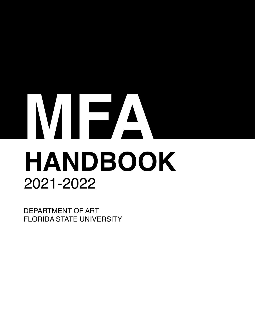# **HANDBOOK** 2021-2022 **MFA**

DEPARTMENT OF ART FLORIDA STATE UNIVERSITY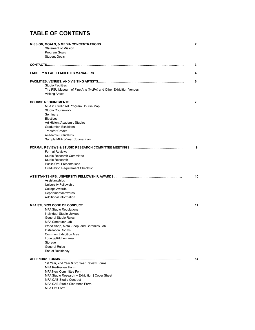# **TABLE OF CONTENTS**

| <b>Statement of Mission</b><br>Program Goals<br><b>Student Goals</b>                                                                                                                                                                                                                         | $\mathbf{2}$ |
|----------------------------------------------------------------------------------------------------------------------------------------------------------------------------------------------------------------------------------------------------------------------------------------------|--------------|
|                                                                                                                                                                                                                                                                                              | 3            |
|                                                                                                                                                                                                                                                                                              | 4            |
| <b>Studio Facilities</b><br>The FSU Museum of Fine Arts (MoFA) and Other Exhibition Venues<br><b>Visiting Artists</b>                                                                                                                                                                        | 6            |
| MFA in Studio Art Program Course Map<br><b>Studio Coursework</b><br><b>Seminars</b><br>Electives<br>Art History/Academic Studies<br><b>Graduation Exhibition</b><br><b>Transfer Credits</b><br>Academic Standards<br>Sample MFA 3-Year Course Plan                                           | 7            |
| <b>Formal Reviews</b><br>Studio Research Committee<br>Studio Research<br><b>Public Oral Presentations</b><br><b>Graduation Requirement Checklist</b>                                                                                                                                         | 9            |
|                                                                                                                                                                                                                                                                                              | 10           |
| Assistantships<br>University Fellowship<br>College Awards<br><b>Departmental Awards</b><br>Additional Information                                                                                                                                                                            |              |
| <b>MFA Studio Regulations</b><br>Individual Studio Upkeep<br><b>General Studio Rules</b><br>MFA Computer Lab<br>Wood Shop, Metal Shop, and Ceramics Lab<br>Installation Rooms<br><b>Common Exhibition Area</b><br>Lounge/Kitchen area<br>Storage<br><b>General Rules</b><br>End of Residency | 11           |
|                                                                                                                                                                                                                                                                                              | 14           |
| 1st Year, 2nd Year & 3rd Year Review Forms<br><b>MFA Re-Review Form</b><br><b>MFA New Committee Form</b><br>MFA Studio Research + Exhibition   Cover Sheet<br><b>MFA CAB Studio Contract</b><br>MFA CAB Studio Clearance Form<br><b>MFA Exit Form</b>                                        |              |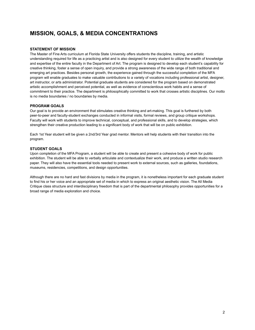# **MISSION, GOALS, & MEDIA CONCENTRATIONS**

## **STATEMENT OF MISSION**

The Master of Fine Arts curriculum at Florida State University offers students the discipline, training, and artistic understanding required for life as a practicing artist and is also designed for every student to utilize the wealth of knowledge and expertise of the entire faculty in the Department of Art. The program is designed to develop each student's capability for creative thinking, foster a sense of open inquiry, and provide a strong awareness of the wide range of both traditional and emerging art practices. Besides personal growth, the experience gained through the successful completion of the MFA program will enable graduates to make valuable contributions to a variety of vocations including professional artist, designer, art instructor, or arts administrator. Potential graduate students are considered for the program based on demonstrated artistic accomplishment and perceived potential, as well as evidence of conscientious work habits and a sense of commitment to their practice. The department is philosophically committed to work that crosses artistic disciplines. Our motto is no media boundaries / no boundaries by media.

## **PROGRAM GOALS**

Our goal is to provide an environment that stimulates creative thinking and art-making. This goal is furthered by both peer-to-peer and faculty-student exchanges conducted in informal visits, formal reviews, and group critique workshops. Faculty will work with students to improve technical, conceptual, and professional skills, and to develop strategies, which strengthen their creative production leading to a significant body of work that will be on public exhibition.

Each 1st Year student will be given a 2nd/3rd Year grad mentor. Mentors will help students with their transition into the program.

## **STUDENT GOALS**

Upon completion of the MFA Program, a student will be able to create and present a cohesive body of work for public exhibition. The student will be able to verbally articulate and contextualize their work, and produce a written studio research paper. They will also have the essential tools needed to present work to external sources, such as galleries, foundations, museums, residencies, competitions, and design opportunities.

Although there are no hard and fast divisions by media in the program, it is nonetheless important for each graduate student to find his or her voice and an appropriate set of media in which to express an original aesthetic vision. The All Media Critique class structure and interdisciplinary freedom that is part of the departmental philosophy provides opportunities for a broad range of media exploration and choice.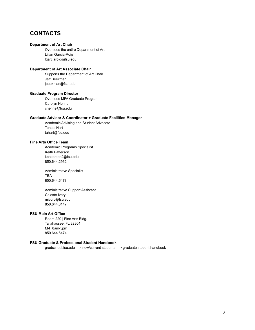## **CONTACTS**

## **Department of Art Chair**

Oversees the entire Department of Art Lilian Garcia-Roig lgarciaroig@fsu.edu

## **Department of Art Associate Chair**

Supports the Department of Art Chair Jeff Beekman jbeekman@fsu.edu

## **Graduate Program Director**

Oversees MFA Graduate Program Carolyn Henne chenne@fsu.edu

## **Graduate Advisor & Coordinator + Graduate Facilities Manager**

Academic Advising and Student Advocate Tenee' Hart tahart@fsu.edu

## **Fine Arts Office Team**

Academic Programs Specialist Keith Patterson kpatterson2@fsu.edu 850.644.2932

Administrative Specialist TBA 850.644.6478

Administrative Support Assistant Celeste Ivory mivory@fsu.edu 850.644.3147

## **FSU Main Art Office**

Room 220 | Fine Arts Bldg. Tallahassee, FL 32304 M-F 8am-5pm 850.644.6474

## **FSU Graduate & Professional Student Handbook**

gradschool.fsu.edu —> new/current students —> graduate student handbook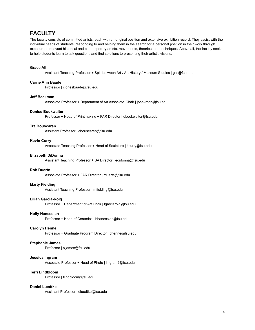## **FACULTY**

The faculty consists of committed artists, each with an original position and extensive exhibition record. They assist with the individual needs of students, responding to and helping them in the search for a personal position in their work through exposure to relevant historical and contemporary artists, movements, theories, and techniques. Above all, the faculty seeks to help students learn to ask questions and find solutions to presenting their artistic visions.

## **Grace Ali**

Assistant Teaching Professor + Split between Art / Art History / Museum Studies | gali@fsu.edu

## **Carrie Ann Baade**

Professor | cjonesbaade@fsu.edu

#### **Jeff Beekman**

Associate Professor + Department of Art Associate Chair | jbeekman@fsu.edu

#### **Denise Bookwalter**

Professor + Head of Printmaking + FAR Director | dbookwalter@fsu.edu

## **Tra Bouscaran**

Assistant Professor | abouscaren@fsu.edu

## **Kevin Curry**

Associate Teaching Professor + Head of Sculpture | kcurry@fsu.edu

#### **Elizabeth DiDonna**

Assistant Teaching Professor + BA Director | edidonna@fsu.edu

## **Rob Duarte**

Associate Professor + FAR Director | rduarte@fsu.edu

#### **Marty Fielding**

Assistant Teaching Professor | mfielding@fsu.edu

#### **Lilian Garcia-Roig**

Professor + Department of Art Chair | lgarciaroig@fsu.edu

#### **Holly Hanessian**

Professor + Head of Ceramics | hhanessian@fsu.edu

## **Carolyn Henne**

Professor + Graduate Program Director | chenne@fsu.edu

#### **Stephanie James**

Professor | sljames@fsu.edu

## **Jessica Ingram**

Associate Professor + Head of Photo | jingram2@fsu.edu

#### **Terri Lindbloom**

Professor | tlindbloom@fsu.edu

#### **Daniel Luedtke**

Assistant Professor | dluedtke@fsu.edu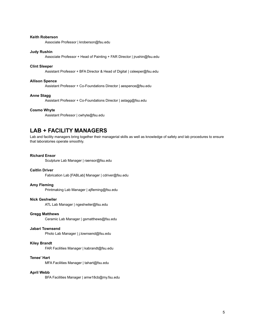## **Keith Roberson**

Associate Professor | kroberson@fsu.edu

#### **Judy Rushin**

Associate Professor + Head of Painting + FAR Director | jrushin@fsu.edu

## **Clint Sleeper**

Assistant Professor + BFA Director & Head of Digital | csleeper@fsu.edu

## **Allison Spence**

Assistant Professor + Co-Foundations Director | aespence@fsu.edu

## **Anne Stagg**

Assistant Professor + Co-Foundations Director | astagg@fsu.edu

## **Cosmo Whyte**

Assistant Professor | cwhyte@fsu.edu

## **LAB + FACILITY MANAGERS**

Lab and facility managers bring together their managerial skills as well as knowledge of safety and lab procedures to ensure that laboratories operate smoothly.

## **Richard Ensor**

Sculpture Lab Manager | raensor@fsu.edu

## **Caitlin Driver**

Fabrication Lab [FABLab] Manager | cdriver@fsu.edu

#### **Amy Fleming**

Printmaking Lab Manager | ajfleming@fsu.edu

## **Nick Geshwiler**

ATL Lab Manager | ngeshwiler@fsu.edu

## **Gregg Matthews**

Ceramic Lab Manager | gsmatthews@fsu.edu

#### **Jabari Townsend**

Photo Lab Manager | j.townsend@fsu.edu

## **Kiley Brandt**

FAR Facilities Manager | kabrandt@fsu.edu

## **Tenee' Hart**

MFA Facilities Manager | tahart@fsu.edu

## **April Webb**

BFA Facilities Manager | amw18cb@my.fsu.edu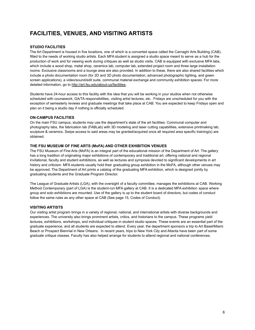# **FACILITIES, VENUES, AND VISITING ARTISTS**

## **STUDIO FACILITIES**

The Art Department is housed in five locations, one of which is a converted space called the Carnaghi Arts Building (CAB), fitted to the needs of working studio artists. Each MFA student is assigned a studio space meant to serve as a hub for the production of work and for viewing work during critiques as well as studio visits. CAB is equipped with exclusive MFA labs, which include a wood shop, metal shop, ceramics lab, computer lab, extended project room and three large installation rooms. Exclusive classrooms and a lounge area are also provided. In addition to these, there are also shared facilities which include a photo documentation room (for 2D and 3D photo documentation, advanced photographic lighting, and green screen applications), a video/sound/edit suite, communal material exchange and community exhibition spaces. For more detailed information, go to [http://art.fsu.edu/about-us/facilities.](http://art.fsu.edu/about-us/facilities)

Students have 24-hour access to this facility with the idea that you will be working in your studios when not otherwise scheduled with coursework, GA/TA responsibilities, visiting artist lectures, etc. Fridays are unscheduled for you with the exception of semesterly reviews and graduate meetings that take place at CAB. You are expected to keep Fridays open and plan on it being a studio day if nothing is officially scheduled.

## **ON-CAMPUS FACILITIES**

On the main FSU campus, students may use the department's state of the art facilities. Communal computer and photography labs, the fabrication lab (FABLab) with 3D modeling and laser cutting capabilities, extensive printmaking lab, sculpture & ceramics. Swipe access to said areas may be granted/acquired once all required area specific training(s) are obtained.

## **THE FSU MUSEUM OF FINE ARTS (MoFA) AND OTHER EXHIBITION VENUES**

The FSU Museum of Fine Arts (MoFA) is an integral part of the educational mission of the Department of Art. The gallery has a long tradition of originating major exhibitions of contemporary and traditional art, offering national and regional invitational, faculty and student exhibitions, as well as lectures and symposia devoted to significant developments in art history and criticism. MFA students usually hold their graduating group exhibition in the MoFA, although other venues may be approved. The Department of Art prints a catalog of the graduating MFA exhibition, which is designed jointly by graduating students and the Graduate Program Director.

The League of Graduate Artists (LGA), with the oversight of a faculty committee, manages the exhibitions at CAB. Working Method Contemporary (part of LGA) is the student-run MFA gallery at CAB. It is a dedicated MFA exhibition space where group and solo exhibitions are mounted. Use of the gallery is up to the student board of directors, but codes of conduct follow the same rules as any other space at CAB (See page 15, Codes of Conduct).

## **VISITING ARTISTS**

Our visiting artist program brings in a variety of regional, national, and international artists with diverse backgrounds and experiences. The university also brings prominent artists, critics, and historians to the campus. These programs yield lectures, exhibitions, workshops, and individual critiques in student studio spaces. These events are an essential part of the graduate experience, and all students are expected to attend. Every year, the department sponsors a trip to Art Basel/Miami Beach or Prospect Biennial in New Orleans. In recent years, trips to New York City and Atlanta have been part of some graduate critique classes. Faculty has also helped arrange for students to attend regional and national conferences.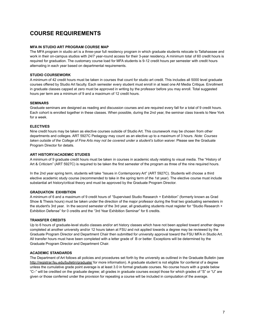# **COURSE REQUIREMENTS**

## **MFA IN STUDIO ART PROGRAM COURSE MAP**

The MFA program in studio art is a three-year full residency program in which graduate students relocate to Tallahassee and work in their on-campus studios with 24/7 year-round access for their 3-year residency. A minimum total of 60 credit hours is required for graduation. The customary course load for MFA students is 9-12 credit hours per semester with credit hours alternating in each year based on departmental requirements.

## **STUDIO COURSEWORK**

A minimum of 42 credit hours must be taken in courses that count for studio art credit. This includes all 5000 level graduate courses offered by Studio Art faculty. Each semester every student must enroll in at least one All Media Critique. Enrollment in graduate classes capped at zero must be approved in writing by the professor before you may enroll. Total suggested hours per term are a minimum of 9 and a maximum of 12 credit hours.

## **SEMINARS**

Graduate seminars are designed as reading and discussion courses and are required every fall for a total of 9 credit hours. Each cohort is enrolled together in these classes. When possible, during the 2nd year, the seminar class travels to New York for a week.

## **ELECTIVES**

Nine credit hours may be taken as elective courses outside of Studio Art. This coursework may be chosen from other departments and colleges. ART 5927C Pedagogy may count as an elective up to a maximum of 3 hours. *Note: Courses* taken outside of the College of Fine Arts may not be covered under a student's tuition waiver. Please see the Graduate Program Director for details.

## **ART HISTORY/ACADEMIC STUDIES**

A minimum of 9 graduate credit hours must be taken in courses in academic study relating to visual media. The "History of Art & Criticism" (ART 5927C) is required to be taken the first semester of the program as three of the nine required hours.

In the 2nd year spring term, students will take "Issues in Contemporary Art" (ART 5927C). Students will choose a third elective academic study course (recommended to take in the spring term of the 1st year). The elective course must include substantial art history/critical theory and must be approved by the Graduate Program Director.

## **GRADUATION EXHIBITION**

A minimum of 6 and a maximum of 9 credit hours of "Supervised Studio Research + Exhibition" (formerly known as Grad Show & Thesis hours) must be taken under the direction of the major professor during the final two graduating semesters in the student's 3rd year. In the second semester of the 3rd year, all graduating students must register for "Studio Research + Exhibition Defense" for 0 credits and the "3rd Year Exhibition Seminar" for 6 credits.

## **TRANSFER CREDITS**

Up to 6 hours of graduate-level studio classes and/or art history classes which have not been applied toward another degree completed at another university and/or 12 hours taken at FSU and not applied towards a degree may be reviewed by the Graduate Program Director and Department Chair then submitted for university approval toward the FSU MFA in Studio Art. All transfer hours must have been completed with a letter grade of B or better. Exceptions will be determined by the Graduate Program Director and Department Chair.

## **ACADEMIC STANDARDS**

The Department of Art follows all policies and procedures set forth by the university as outlined in the Graduate Bulletin (see <http://registrar.fsu.edu/bulletin/graduate/> for more information). A graduate student is not eligible for conferral of a degree unless the cumulative grade point average is at least 3.0 in formal graduate courses. No course hours with a grade below "C–" will be credited on the graduate degree; all grades in graduate courses except those for which grades of "S" or "U" are given or those conferred under the provision for repeating a course will be included in computation of the average.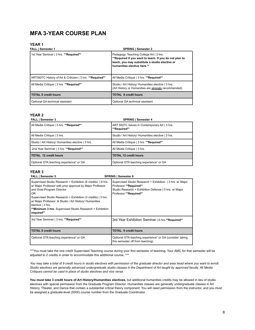## **MFA 3-YEAR COURSE PLAN**

## **YEAR 1**

| <b>FALL   Semester 1</b>                                   | <b>SPRING   Semester 2</b>                                                                                                                                                         |
|------------------------------------------------------------|------------------------------------------------------------------------------------------------------------------------------------------------------------------------------------|
| 1st Year Seminar   3 hrs. **Required**                     | Pedagogy: Teaching College Art   3 hrs.<br>**Required if you want to teach. If you do not plan to<br>teach, you may substitute a studio elective or<br>humanities elective here.** |
| ART5927C History of Art & Criticism   3 hrs. ** Required** | All Media Critique   3 hrs. ** Required**                                                                                                                                          |
| All Media Critique   3 hrs. **Required**                   | Studio / Art History/ Humanities elective   3 hrs.<br>(Art History or Humanities are strongly recommended)                                                                         |
| <b>TOTAL 9 credit hours</b>                                | <b>TOTAL 9 credit hours</b>                                                                                                                                                        |
| Optional GA technical assistant                            | Optional GA technical assistant                                                                                                                                                    |

## **YEAR 2**

| <b>SPRING   Semester 4</b>                                    |
|---------------------------------------------------------------|
| ART 5927C Issues in Contemporary Art   3 hrs.<br>**Required** |
| Studio / Art History/ Humanities elective   3 hrs.            |
| All Media Critique   3 hrs. ** Required**                     |
| All Media Critique   3 hrs.                                   |
| <b>TOTAL 12 credit hours</b>                                  |
| Optional GTA teaching experience* or GA                       |
|                                                               |

## **YEAR 3**

| <b>FALL   Semester 5</b>                                                                                                                                                                                                                                                                                                                                                                     | <b>SPRING   Semester 6</b>                                                                                                                                              |
|----------------------------------------------------------------------------------------------------------------------------------------------------------------------------------------------------------------------------------------------------------------------------------------------------------------------------------------------------------------------------------------------|-------------------------------------------------------------------------------------------------------------------------------------------------------------------------|
| Supervised Studio Research + Exhibition (6 credits)   6 hrs.<br>w/ Major Professor with prior approval by Major Professor<br>and Grad Program Director<br>0R<br>Supervised Studio Research + Exhibition (3 credits)   3 hrs.<br>w/ Major Professor & Studio / Art History/ Humanities<br>elective $ 3$ hrs.<br><b>**Minimum 3 hrs.</b> Supervised Studio Research + Exhibition<br>required** | Supervised Studio Research + Exhibition   3 hrs. w/ Major<br>Professor **Required**<br>Studio Research + Exhibition Defense   0 hrs. w/ Major<br>Professor **Required** |
| 3rd Year Seminar   3 hrs. **Required**                                                                                                                                                                                                                                                                                                                                                       | 3rd Year Exhibition Seminar   6 hrs.**Required**                                                                                                                        |
| TOTAL 9 credit hours                                                                                                                                                                                                                                                                                                                                                                         | <b>TOTAL 9 credit hours</b>                                                                                                                                             |
| Optional GTA teaching experience* or GA                                                                                                                                                                                                                                                                                                                                                      | Optional GTA teaching experience* or GA (consider taking<br>this semester off from teaching)                                                                            |

\*\*\*You must take the one credit Supervised Teaching course during your first semester of teaching. Your AMC for that semester will be adjusted to 2 credits in order to accommodate this additional course..\*\*\*

*You may take a total of 9 credit hours in studio electives with permission of the graduate director and area head where you want to enroll. Studio electives are generally advanced undergraduate studio classes in the Department of Art taught by approved faculty. All Media Critiques cannot be used in place of studio electives and vice versa.*

**You must take 3 credit hours of Art History/Humanities electives,** but additional humanities credits may be allowed in lieu of studio electives with special permission from the Graduate Program Director. Humanities classes are generally undergraduate classes in Art History, Theater, and Dance that contain a substantial critical theory component. You will need permission from the instructor, and you must be assigned a graduate-level (5000) course number from the Graduate Coordinator.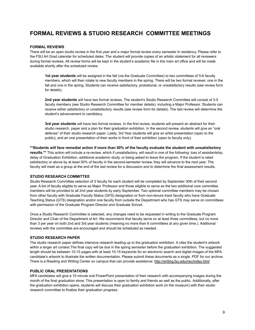## **FORMAL REVIEWS & STUDIO RESEARCH COMMITTEE MEETINGS**

## **FORMAL REVIEWS**

There will be an open studio review in the first year and a major formal review every semester in residency. Please refer to the FSU Art Grad calendar for scheduled dates. The student will provide copies of an artistic statement for all reviewers during formal reviews. All review forms will be kept in the student's academic file in the main art office and will be made available shortly after the scheduled review.

**1st year students** will be assigned in the fall (via the Graduate Committee) to two committees of 5-6 faculty members, which will then rotate to new faculty members in the spring. There will be two formal reviews: one in the fall and one in the spring. Students can receive satisfactory, probational, or unsatisfactory results (see review form for details).

**2nd year students** will have two formal reviews. The student's Studio Research Committee will consist of 3-5 faculty members (see Studio Research Committee for member details), including a Major Professor. Students can receive either satisfactory or unsatisfactory results (see review form for details). The last review will determine the student's advancement to candidacy.

**3rd year students** will have two formal reviews. In the first review, students will present an abstract for their studio research paper and a plan for their graduation exhibition. In the second review, students will give an "oral defense" of their studio research paper. Lastly, 3rd Year students will give an artist presentation (open to the public), and an oral presentation of their works in front of their exhibition (open to faculty only).

## **\*\*Students will face remedial action if more than 50% of the faculty evaluate the student with unsatisfactory**

**results.\*\*** This action will include a re-review, which if unsatisfactory, will result in one of the following: loss of assistantship, delay of Graduation Exhibition, additional academic study, or being asked to leave the program. If the student is rated satisfactory or above by at least 50% of faculty in the second-semester review, they will advance to the next year. The faculty will meet as a group at the end of the last review for a discussion and to determine the final assessment results.

## **STUDIO RESEARCH COMMITTEE**

Studio Research Committee selection of 3 faculty for each student will be completed by September 30th of their second year. A list of faculty eligible to serve as Major Professor and those eligible to serve as the two additional core committee members will be provided to all 2nd year students by early September. Two optional committee members may be chosen from other faculty with Graduate Faculty Status (GFS) designation or from non-tenure track faculty who have Graduate Teaching Status (GTS) designation and/or one faculty from outside the Department who has GTS may serve on committees with permission of the Graduate Program Director and Graduate School.

Once a Studio Research Committee is selected, any changes need to be requested in writing to the Graduate Program Director and Chair of the Department of Art. We recommend that faculty serve on at least three committees, but no more than 3 per year on both 2nd and 3rd year students (meaning no more than 6 committees at any given time.). Additional reviews with the committee are encouraged and should be scheduled as needed.

#### **STUDIO RESEARCH PAPER**

The studio research paper defines intensive research leading up to the graduation exhibition. It cites the student's artwork within a larger art context.The final copy will be due in the spring semester before the graduation exhibition. The suggested length should be between 10-15 pages with at least 10-15 keywords for an electronic search and digital images of the MFA candidate's artwork to illustrate the written documentation. Please submit these documents as a single .PDF for our archive. There is a Reading and Writing Center on campus that can provide assistance: <http://writing.fsu.edu/rwc/index.html>

## **PUBLIC ORAL PRESENTATIONS**

MFA candidates will give a 10 minute oral PowerPoint presentation of their research with accompanying images during the month of the final graduation show. This presentation is open to family and friends as well as the public. Additionally, after the graduation exhibition opens, students will discuss their graduation exhibition work (in the museum) with their studio research committee to finalize their graduation progress.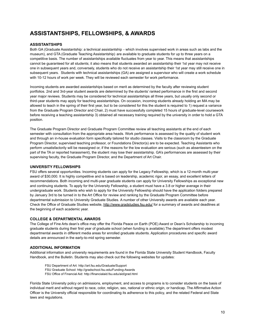# **ASSISTANTSHIPS, FELLOWSHIPS, & AWARDS**

## **ASSISTANTSHIPS**

Both GA (Graduate Assistantship: a technical assistantship - which involves supervised work in areas such as labs and the museum), and GTA (Graduate Teaching Assistantship) are available to graduate students for up to three years on a competitive basis. The number of assistantships available fluctuates from year to year. This means that assistantships cannot be guaranteed for all students; it also means that students awarded an assistantship their 1st year may not receive one in subsequent years and, conversely, students who do not receive an assistantship their 1st year may still receive one in subsequent years. Students with technical assistantships (GA) are assigned a supervisor who will create a work schedule with 10-12 hours of work per week. They will be reviewed each semester for work performance.

Incoming students are awarded assistantships based on merit as determined by the faculty after reviewing student portfolios. 2nd and 3rd-year student awards are determined by the students' ranked performance in the first and second year major reviews. Students may be considered for technical assistantships all three years, but usually only second or third-year students may apply for teaching assistantships. On occasion, incoming students already holding an MA may be allowed to teach in the spring of their first year, but to be considered for this the student is required to 1) request a variance from the Graduate Program Director and Chair, 2) must have successfully completed 15 hours of graduate-level coursework before receiving a teaching assistantship 3) obtained all necessary training required by the university in order to hold a GTA position.

The Graduate Program Director and Graduate Program Committee review all teaching assistants at the end of each semester with consultation from the appropriate area heads. Work performance is assessed by the quality of student work and through an in-house evaluation form specifically tailored for studio classes. Visits to the classroom by the Graduate Program Director, supervised teaching professor, or Foundations Director(s) are to be expected. Teaching Assistants who perform unsatisfactorily will be reassigned or, if the reasons for the low evaluation are serious (such as absenteeism on the part of the TA or reported harassment), the student may lose their assistantship. GA's performances are assessed by their supervising faculty, the Graduate Program Director, and the Department of Art Chair.

## **UNIVERSITY FELLOWSHIPS**

FSU offers several opportunities. Incoming students can apply for the Legacy Fellowship, which is a 12-month multi-year award of \$30,000. It is highly competitive and is based on leadership, academic rigor, an essay, and excellent letters of recommendations. Both incoming and multi-year graduate students can apply for University Fellowships as exceptional new and continuing students. To apply for the University Fellowship, a student must have a 3.8 or higher average in their undergraduate work. Students who wish to apply for the University Fellowship should have the application folders prepared by January 3rd to be turned in to the Art Office for review and ranking by the Graduate Program Committee before departmental submission to University Graduate Studies. A number of other University awards are available each year. Check the Office of Graduate Studies website, <http://www.gradstudies.fsu.edu/> for a summary of awards and deadlines at the beginning of each academic year.

## **COLLEGE & DEPARTMENTAL AWARDS**

The College of Fine Arts dean's office may offer the Florida Peace on Earth (POE) Award or Dean's Scholarship to incoming graduate students during their first year of graduate school (when funding is available).The department offers modest departmental awards in different media areas for enrolled graduate students. Application procedures and specific award details are announced in the early-to-mid spring semester.

## **ADDITIONAL INFORMATION**

Additional information and university requirements are found in the Florida State University Student Handbook, Faculty Handbook, and the Bulletin. Students may also check out the following websites for updates:

- FSU Department of Art: <http://art.fsu.edu/Graduate/Support>
- FSU Graduate School: <http://gradschool.fsu.edu/Funding-Awards>
- FSU Office of Financial Aid: <http://financialaid.fsu.edu/aid/grad.html>

Florida State University policy on admissions, employment, and access to programs is to consider students on the basis of individual merit and without regard to race, color, religion, sex, national or ethnic origin, or handicap. The Affirmative Action Officer is the University official responsible for coordinating its adherence to this policy, and the related Federal and State laws and regulations.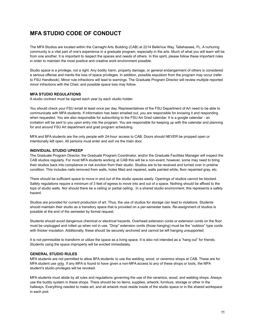## **MFA STUDIO CODE OF CONDUCT**

The MFA Studios are located within the Carnaghi Arts Building (CAB) at 2214 BelleVue Way, Tallahassee, FL. A nurturing community is a vital part of one's experience in a graduate program, especially in the arts. Much of what you will learn will be from one another. It is important to respect the spaces and needs of others. In this spirit, please follow these important rules in order to maintain the most positive and creative work environment possible.

Studio space is a privilege, not a right. Any bodily harm, property damage, or general endangerment of others is considered a serious offense and merits the loss of space privileges. In addition, possible expulsion from the program may occur (refer to FSU Handbook). Minor rule infractions will lead to warnings. The Graduate Program Director will review multiple reported minor infractions with the Chair, and possible space loss may follow.

## **MFA STUDIO REGULATIONS**

A studio contract must be signed each year by each studio holder.

You should check your FSU email at least once per day. Representatives of the FSU Department of Art need to be able to communicate with MFA students. If information has been emailed out, you are responsible for knowing it and responding when requested. You are also responsible for subscribing to the FSU Art Grad calendar. It is a google calendar - an invitation will be sent to you upon entry into the program. You are responsible for keeping up with the calendar and planning for and around FSU Art department and grad program scheduling.

MFA and BFA students are the only people with 24-hour access to CAB. Doors should NEVER be propped open or intentionally left open. All persons must enter and exit via the main door.

## **INDIVIDUAL STUDIO UPKEEP**

The Graduate Program Director, the Graduate Program Coordinator, and/or the Graduate Facilities Manager will inspect the CAB studios regularly. For most MFA students working at CAB this will be a non-event, however, some may need to bring their studios back into compliance or risk eviction from their studio. Studios are to be received and turned over in pristine condition. This includes nails removed from walls, holes filled and repaired, walls painted white, floor repainted gray, etc.

There should be sufficient space to move in and out of the studio spaces easily. Openings of studios cannot be blocked. Safety regulations require a minimum of 3 feet of egress to move into and out of a space. Nothing should be affixed to the tops of studio walls. Nor should there be a ceiling or partial ceiling. In a shared studio environment, this represents a safety hazard.

Studios are provided for current production of art. Thus, the use of studios for storage can lead to violations. Students should maintain their studio as a transitory space that is provided on a per-semester basis. Re-assignment of studios is possible at the end of the semester by formal request.

Students should avoid dangerous chemical or electrical hazards. Overhead extension cords or extension cords on the floor must be unplugged and rolled up when not in use. "Drop" extension cords (those hanging) must be the "outdoor" type cords with thicker insulation. Additionally, these should be securely anchored and cannot be left hanging unsupported.

It is not permissible to transform or utilize the space as a living space. It is also not intended as a "hang out" for friends. Students using the space improperly will be evicted immediately.

## **GENERAL STUDIO RULES**

MFA students are not permitted to allow BFA students to use the welding, wood, or ceramics shops at CAB. These are for MFA student use only. If any MFA is found to have given a non-MFA access to any of these shops or tools, the MFA student's studio privileges will be revoked.

MFA students must abide by all rules and regulations governing the use of the ceramics, wood, and welding shops. Always use the buddy system in these shops. There should be no items, supplies, artwork, furniture, storage or other in the hallways. Everything needed to make art, and all artwork must reside inside of the studio space or in the shared workspace in each pod.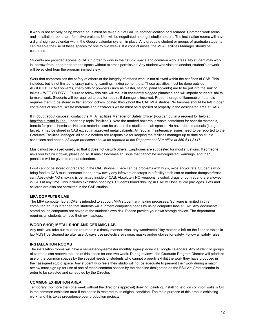If work is not actively being worked on, it must be taken out of CAB to another location or discarded. Common work areas and installation rooms are for active projects. Use will be negotiated amongst studio holders. The installation rooms will have a digital sign-up calendar within the Google calendar system in place. Any graduate student or groups of graduate students can reserve the use of these spaces for one to two weeks. If a conflict arises, the MFA Facilities Manager should be contacted.

Students are provided access to CAB in order to work in their studio space and common work areas. No student may work in, borrow from, or enter another's space without express permission. Any student who violates another student's artwork will be evicted from the program immediately.

Work that compromises the safety of others or the integrity of other's work is not allowed within the confines of CAB. This includes, but is not limited to spray painting, sanding, mixing cement, etc. These activities must be done outside. ABSOLUTELY NO solvents, chemicals or powders (such as plaster, stucco, paint solvents) are to be put into the sink or toilets – WET OR DRY!!! Failure to follow this rule will result in constantly clogged plumbing and will impede students' ability to make work. Students will be required to pay for repairs if damage is incurred. Proper storage of flammable materials requires them to be stored in flameproof lockers located throughout the CAB MFA studios. No brushes should be left in open containers of solvent! Waste materials and hazardous waste must be disposed of properly in the designated area at CAB.

If in doubt about disposal, contact the MFA Facilities Manager or Safety Officer (you can put in a request for help a[t](http://help.cvatd.fsu.edu/) [http://help.cvatd.fsu.edu](http://help.cvatd.fsu.edu/) under help topic "facilities"). Note the marked hazardous waste containers for specific materials, barrels for paint chemicals. No toxic materials can be used in the studio and lab spaces. No hazardous materials (i.e. gas, tar, etc.) may be stored in CAB except in approved metal cabinets. All regular maintenance issues need to be reported to the Graduate Facilities Manager. All studio holders are responsible for keeping the facilities manager up to date on studio conditions and needs. *All major problems should be reported to the Department of Art office at 850-644-3147.*

Music must be played quietly so that it does not disturb others. Earphones are suggested for most situations. If someone asks you to turn it down, please do so. If music becomes an issue that cannot be self-regulated, warnings, and then penalties will be given to repeat offenders.

Food cannot be stored or prepared in the CAB studios. There can be problems with bugs, mice and/or rats. Students who bring food to CAB must consume it and throw away any leftovers or scraps in a facility trash can or outdoor dumpster/trash can. Absolutely NO smoking is permitted inside of CAB. Absolutely NO weapons, alcohol, drugs or contraband are allowed in CAB at any time. This includes exhibition openings. Students found drinking in CAB will lose studio privileges. Pets and children are also not permitted in the CAB studios.

## **MFA COMPUTER LAB**

The MFA computer lab at CAB is intended to support MFA student art-making processes. Software is limited in this computer lab. It is intended that students will augment computing needs by using computer labs at FAB. Any documents stored on lab computers are saved at the student's own risk. Please provide your own storage device. The department requires all students to have their own laptops.

## **WOOD SHOP, METAL SHOP AND CERAMIC LAB**

Any tools you take out must be returned in a timely manner. Also, any wood/metal/clay materials left on the floor or tables in lab MUST be cleaned up after use. Always use protective eyewear, masks and/or gloves for safety. Follow all safety rules.

#### **INSTALLATION ROOMS**

The installation rooms will have a semester-by-semester monthly sign-up done via Google calendars. Any student or groups of students can reserve the use of this space for one-two week. During reviews, the Graduate Program Director will prioritize use of the common spaces by the special needs of students who cannot properly exhibit the work they have produced in their assigned studio space. Any student who feels their studio will not be adequate to present their work during a major review must sign up for use of one of these common spaces by the deadline designated on the FSU Art Grad calendar in order to be selected and scheduled by the Director.

## **COMMON EXHIBITION AREA**

Temporary (no more than one week without the director's approval) drawing, painting, installing, etc. on common walls is OK in the common exhibition area if the space is restored to its original condition. The main purpose of this area is exhibiting work, and this takes precedence over production projects.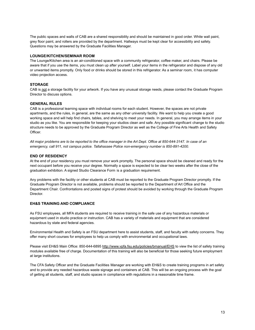The public spaces and walls of CAB are a shared responsibility and should be maintained in good order. White wall paint, grey floor paint, and rollers are provided by the department. Hallways must be kept clear for accessibility and safety. Questions may be answered by the Graduate Facilities Manager.

## **LOUNGE/KITCHEN/SEMINAR ROOM**

The Lounge/Kitchen area is an air-conditioned space with a community refrigerator, coffee maker, and chairs. Please be aware that if you use the items, you must clean up after yourself. Label your items in the refrigerator and dispose of any old or unwanted items promptly. Only food or drinks should be stored in this refrigerator. As a seminar room, it has computer video projection access.

## **STORAGE**

CAB is not a storage facility for your artwork. If you have any unusual storage needs, please contact the Graduate Program Director to discuss options.

## **GENERAL RULES**

CAB is a professional learning space with individual rooms for each student. However, the spaces are not private apartments, and the rules, in general, are the same as any other university facility. We want to help you create a good working space and will help find chairs, tables, and shelving to meet your needs. In general, you may arrange items in your studio as you like. You are responsible for keeping your studios clean and safe. Any possible significant change to the studio structure needs to be approved by the Graduate Program Director as well as the College of Fine Arts Health and Safety Officer.

All major problems are to be reported to the office manager in the Art Dept. Office at 850-644-3147. In case of an *emergency, call 911, not campus police. Tallahassee Police non-emergency number is 850-891-4200.*

## **END OF RESIDENCY**

At the end of your residency you must remove your work promptly. The personal space should be cleaned and ready for the next occupant before you receive your degree. Normally a space is expected to be clear two weeks after the close of the graduation exhibition. A signed Studio Clearance Form is a graduation requirement.

Any problems with the facility or other students at CAB must be reported to the Graduate Program Director promptly. If the Graduate Program Director is not available, problems should be reported to the Department of Art Office and the Department Chair. Confrontations and posted signs of protest should be avoided by working through the Graduate Program Director.

## **EH&S TRAINING AND COMPLIANCE**

As FSU employees, all MFA students are required to receive training in the safe use of any hazardous materials or equipment used in studio practice or instruction. CAB has a variety of materials and equipment that are considered hazardous by state and federal agencies.

Environmental Health and Safety is an FSU department here to assist students, staff, and faculty with safety concerns. They offer many short courses for employees to help us comply with environmental and occupational laws.

Please visit EH&S Main Office: 850-644-6895 <http://www.vpfa.fsu.edu/policies/bmanual/EHS> to view the list of safety training modules available free of charge. Documentation of this training will also be beneficial for those seeking future employment at large institutions.

The CFA Safety Officer and the Graduate Facilities Manager are working with EH&S to create training programs in art safety and to provide any needed hazardous waste signage and containers at CAB. This will be an ongoing process with the goal of getting all students, staff, and studio spaces in compliance with regulations in a reasonable time frame.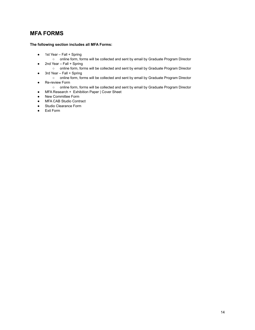## **MFA FORMS**

## **The following section includes all MFA Forms:**

- 1st Year Fall + Spring
	- online form, forms will be collected and sent by email by Graduate Program Director
- 2nd Year Fall + Spring
	- o online form, forms will be collected and sent by email by Graduate Program Director
- 3rd Year Fall + Spring
	- o online form, forms will be collected and sent by email by Graduate Program Director
- Re-review Form
	- o online form, forms will be collected and sent by email by Graduate Program Director
- MFA Research + Exhibition Paper | Cover Sheet
- New Committee Form
- MFA CAB Studio Contract
- Studio Clearance Form
- Exit Form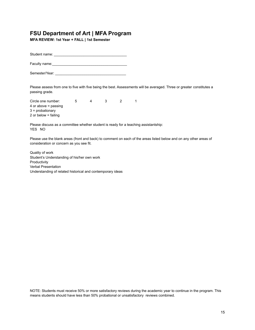**MFA REVIEW: 1st Year + FALL | 1st Semester**

Student name: \_\_\_\_\_\_\_\_\_\_\_\_\_\_\_\_\_\_\_\_\_\_\_\_\_\_\_\_\_\_\_\_\_\_\_\_\_

Faculty name:

Semester/Year: \_\_\_\_\_\_\_\_\_\_\_\_\_\_\_\_\_\_\_\_\_\_\_\_\_\_\_\_\_\_\_\_\_\_\_\_

Please assess from one to five with five being the best. Assessments will be averaged. Three or greater constitutes a passing grade.

Circle one number:  $\begin{array}{cccc} 5 & 4 & 3 & 2 & 1 \end{array}$  or above = passing = probationary or below = failing

Please discuss as a committee whether student is ready for a teaching assistantship: YES NO

Please use the blank areas (front and back) to comment on each of the areas listed below and on any other areas of consideration or concern as you see fit.

Quality of work Student's Understanding of his/her own work Productivity Verbal Presentation Understanding of related historical and contemporary ideas

NOTE: Students must receive 50% or more satisfactory reviews during the academic year to continue in the program. This means students should have less than 50% probational or unsatisfactory reviews combined.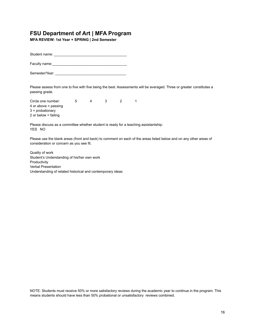**MFA REVIEW: 1st Year + SPRING | 2nd Semester**

Student name: \_\_\_\_\_\_\_\_\_\_\_\_\_\_\_\_\_\_\_\_\_\_\_\_\_\_\_\_\_\_\_\_\_\_\_\_\_

Faculty name:

Semester/Year: \_\_\_\_\_\_\_\_\_\_\_\_\_\_\_\_\_\_\_\_\_\_\_\_\_\_\_\_\_\_\_\_\_\_\_\_

Please assess from one to five with five being the best. Assessments will be averaged. Three or greater constitutes a passing grade.

Circle one number:  $\begin{array}{cccc} 5 & 4 & 3 & 2 & 1 \end{array}$  or above = passing = probationary or below = failing

Please discuss as a committee whether student is ready for a teaching assistantship: YES NO

Please use the blank areas (front and back) to comment on each of the areas listed below and on any other areas of consideration or concern as you see fit.

Quality of work Student's Understanding of his/her own work Productivity Verbal Presentation Understanding of related historical and contemporary ideas

NOTE: Students must receive 50% or more satisfactory reviews during the academic year to continue in the program. This means students should have less than 50% probational or unsatisfactory reviews combined.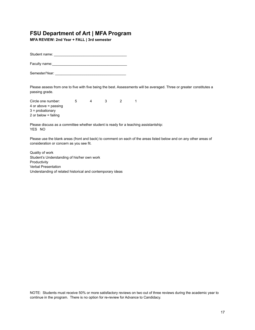**MFA REVIEW: 2nd Year + FALL | 3rd semester**

Student name: \_\_\_\_\_\_\_\_\_\_\_\_\_\_\_\_\_\_\_\_\_\_\_\_\_\_\_\_\_\_\_\_\_\_\_\_\_

Faculty name:

Semester/Year: \_\_\_\_\_\_\_\_\_\_\_\_\_\_\_\_\_\_\_\_\_\_\_\_\_\_\_\_\_\_\_\_\_\_\_\_

Please assess from one to five with five being the best. Assessments will be averaged. Three or greater constitutes a passing grade.

Circle one number:  $\begin{array}{cccc} 5 & 4 & 3 & 2 & 1 \end{array}$  or above = passing = probationary or below = failing

Please discuss as a committee whether student is ready for a teaching assistantship: YES NO

Please use the blank areas (front and back) to comment on each of the areas listed below and on any other areas of consideration or concern as you see fit.

Quality of work Student's Understanding of his/her own work Productivity Verbal Presentation Understanding of related historical and contemporary ideas

NOTE: Students must receive 50% or more satisfactory reviews on two out of three reviews during the academic year to continue in the program. There is no option for re-review for Advance to Candidacy.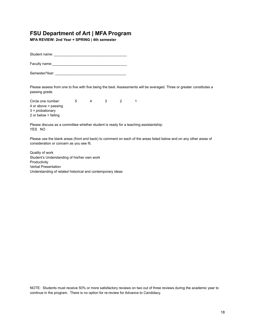**MFA REVIEW: 2nd Year + SPRING | 4th semester**

Student name: \_\_\_\_\_\_\_\_\_\_\_\_\_\_\_\_\_\_\_\_\_\_\_\_\_\_\_\_\_\_\_\_\_\_\_\_\_

Faculty name:

Semester/Year: \_\_\_\_\_\_\_\_\_\_\_\_\_\_\_\_\_\_\_\_\_\_\_\_\_\_\_\_\_\_\_\_\_\_\_\_

Please assess from one to five with five being the best. Assessments will be averaged. Three or greater constitutes a passing grade.

Circle one number:  $\begin{array}{cccc} 5 & 4 & 3 & 2 & 1 \end{array}$  or above = passing = probationary or below = failing

Please discuss as a committee whether student is ready for a teaching assistantship: YES NO

Please use the blank areas (front and back) to comment on each of the areas listed below and on any other areas of consideration or concern as you see fit.

Quality of work Student's Understanding of his/her own work **Productivity** Verbal Presentation Understanding of related historical and contemporary ideas

NOTE: Students must receive 50% or more satisfactory reviews on two out of three reviews during the academic year to continue in the program. There is no option for re-review for Advance to Candidacy.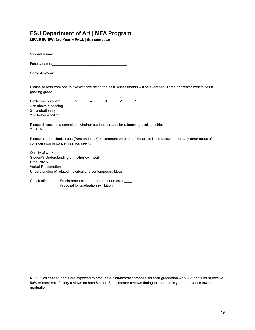**MFA REVIEW: 3rd Year + FALL | 5th semester**

Student name: \_\_\_\_\_\_\_\_\_\_\_\_\_\_\_\_\_\_\_\_\_\_\_\_\_\_\_\_\_\_\_\_\_\_\_\_\_

Faculty name:

Semester/Year: \_\_\_\_\_\_\_\_\_\_\_\_\_\_\_\_\_\_\_\_\_\_\_\_\_\_\_\_\_\_\_\_\_\_\_\_

Please assess from one to five with five being the best. Assessments will be averaged. Three or greater constitutes a passing grade.

Circle one number:  $\begin{array}{cccc} 5 & 4 & 3 & 2 & 1 \end{array}$  or above = passing = probationary or below = failing

Please discuss as a committee whether student is ready for a teaching assistantship: YES NO

Please use the blank areas (front and back) to comment on each of the areas listed below and on any other areas of consideration or concern as you see fit.

Quality of work Student's Understanding of his/her own work Productivity Verbal Presentation Understanding of related historical and contemporary ideas

Check off: Studio research paper abstract and draft \_\_\_\_\_ Proposal for graduation exhibition\_\_\_\_\_

NOTE: 3rd Year students are expected to produce a plan/abstract/proposal for their graduation work. Students must receive 50% or more satisfactory reviews on both 5th and 6th semester reviews during the academic year to advance toward graduation.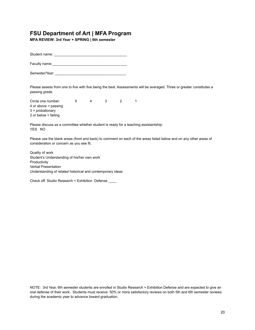**MFA REVIEW: 3rd Year + SPRING | 6th semester**

Student name: \_\_\_\_\_\_\_\_\_\_\_\_\_\_\_\_\_\_\_\_\_\_\_\_\_\_\_\_\_\_\_\_\_\_\_\_\_

Faculty name:

Semester/Year: \_\_\_\_\_\_\_\_\_\_\_\_\_\_\_\_\_\_\_\_\_\_\_\_\_\_\_\_\_\_\_\_\_\_\_\_

Please assess from one to five with five being the best. Assessments will be averaged. Three or greater constitutes a passing grade.

Circle one number:  $\begin{array}{cccc} 5 & 4 & 3 & 2 & 1 \end{array}$  or above = passing = probationary or below = failing

Please discuss as a committee whether student is ready for a teaching assistantship: YES NO

Please use the blank areas (front and back) to comment on each of the areas listed below and on any other areas of consideration or concern as you see fit.

Quality of work Student's Understanding of his/her own work **Productivity** Verbal Presentation Understanding of related historical and contemporary ideas

Check off: Studio Research + Exhibition Defense \_\_\_\_

NOTE: 3rd Year, 6th semester students are enrolled in Studio Research + Exhibition Defense and are expected to give an oral defense of their work. Students must receive 50% or more satisfactory reviews on both 5th and 6th semester reviews during the academic year to advance toward graduation.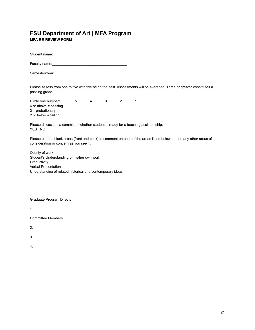**MFA RE-REVIEW FORM**

Student name: \_\_\_\_\_\_\_\_\_\_\_\_\_\_\_\_\_\_\_\_\_\_\_\_\_\_\_\_\_\_\_\_\_\_\_\_\_

Faculty name:\_\_\_\_\_\_\_\_\_\_\_\_\_\_\_\_\_\_\_\_\_\_\_\_\_\_\_\_\_\_\_\_\_\_\_\_\_\_

Semester/Year: \_\_\_\_\_\_\_\_\_\_\_\_\_\_\_\_\_\_\_\_\_\_\_\_\_\_\_\_\_\_\_\_\_\_\_\_

Please assess from one to five with five being the best. Assessments will be averaged. Three or greater constitutes a passing grade.

Circle one number:  $\begin{array}{cccc} 5 & 4 & 3 & 2 & 1 \end{array}$  or above = passing = probationary or below = failing

Please discuss as a committee whether student is ready for a teaching assistantship: YES NO

Please use the blank areas (front and back) to comment on each of the areas listed below and on any other areas of consideration or concern as you see fit.

Quality of work Student's Understanding of his/her own work Productivity Verbal Presentation Understanding of related historical and contemporary ideas

Graduate Program Director

1.

Committee Members

2.

3.

4.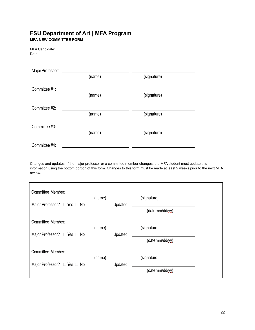## **FSU Department of Art | MFA Program MFA NEW COMMITTEE FORM**

MFA Candidate: Date:

| MajorProfessor: |        |             |
|-----------------|--------|-------------|
|                 | (name) | (signature) |
| Committee #1:   |        |             |
|                 | (name) | (signature) |
| Committee #2:   |        |             |
|                 | (name) | (signature) |
| Committee #3:   |        |             |
|                 | (name) | (signature) |
| Committee #4:   |        |             |

Changes and updates: If the major professor or a committee member changes, the MFA student must update this information using the bottom portion of this form. Changes to this form must be made at least 2 weeks prior to the next MFA review.

| Committee Member:                     |        |          |                 |  |
|---------------------------------------|--------|----------|-----------------|--|
|                                       | (name) |          | (signature)     |  |
| Major Professor? $\Box$ Yes $\Box$ No |        | Updated: |                 |  |
|                                       |        |          | (datemm/dd/yy)  |  |
| Committee Member:                     |        |          |                 |  |
|                                       | (name) |          | (signature)     |  |
| Major Professor? □ Yes □ No           |        | Updated: |                 |  |
|                                       |        |          | (date mm/dd/yy) |  |
| Committee Member:                     |        |          |                 |  |
|                                       | (name) |          | (signature)     |  |
| Major Professor? $\Box$ Yes $\Box$ No |        | Updated: |                 |  |
|                                       |        |          | (datamm/dd/yy)  |  |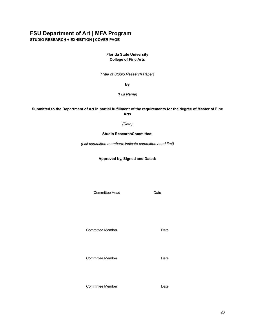**STUDIO RESEARCH + EXHIBITION | COVER PAGE**

## **Florida State University College of Fine Arts**

*(Title of Studio Research Paper)*

## **By**

*(Full Name)*

## **Submitted to the Department of Art in partial fulfillment of the requirements for the degree of Master of Fine Arts**

## *(Date)*

## **Studio ResearchCommittee:**

*(List committee members; indicate committee head first)*

## **Approved by, Signed and Dated:**

Committee Head Date

Committee Member **Date** 

Committee Member **Date** 

Committee Member **Date**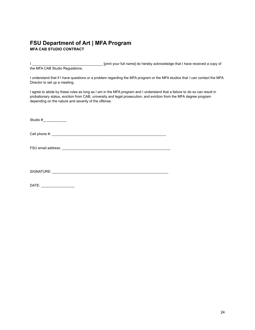## **FSU Department of Art | MFA Program MFA CAB STUDIO CONTRACT**

I \_\_\_\_\_\_\_\_\_\_\_\_\_\_\_\_\_\_\_\_\_\_\_\_\_\_\_\_\_\_\_\_\_\_\_\_ [print your full name] do hereby acknowledge that I have received a copy of the MFA CAB Studio Regulations.

I understand that if I have questions or a problem regarding the MFA program or the MFA studios that I can contact the MFA Director to set up a meeting.

I agree to abide by these rules as long as I am in the MFA program and I understand that a failure to do so can result in probationary status, eviction from CAB, university and legal prosecution, and eviction from the MFA degree program depending on the nature and severity of the offense.

Studio  $\#$ Cell phone #: \_\_\_\_\_\_\_\_\_\_\_\_\_\_\_\_\_\_\_\_\_\_\_\_\_\_\_\_\_\_\_\_\_\_\_\_\_\_\_\_\_\_\_\_\_\_\_\_\_\_\_\_\_\_\_\_\_\_

FSU email address: \_\_\_\_\_\_\_\_\_\_\_\_\_\_\_\_\_\_\_\_\_\_\_\_\_\_\_\_\_\_\_\_\_\_\_\_\_\_\_\_\_\_\_\_\_\_\_\_\_\_\_\_\_\_\_

SIGNATURE: \_\_\_\_\_\_\_\_\_\_\_\_\_\_\_\_\_\_\_\_\_\_\_\_\_\_\_\_\_\_\_\_\_\_\_\_\_\_\_\_\_\_\_\_\_\_\_\_\_\_\_\_\_\_\_\_\_\_\_

DATE: \_\_\_\_\_\_\_\_\_\_\_\_\_\_\_\_\_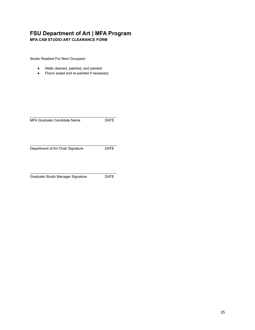**MFA CAB STUDIO ART CLEARANCE FORM**

Studio Readied For Next Occupant:

- Walls cleaned, patched, and painted
- Floors swept and re-painted if necessary

| MFA Graduate Candidate Name       | DATE |
|-----------------------------------|------|
| Department of Art Chair Signature | DATE |

\_\_\_\_\_\_\_\_\_\_\_\_\_\_\_\_\_\_\_\_\_\_\_\_\_\_\_\_\_\_\_\_\_\_\_\_\_\_\_\_\_\_\_\_ Graduate Studio Manager Signature DATE